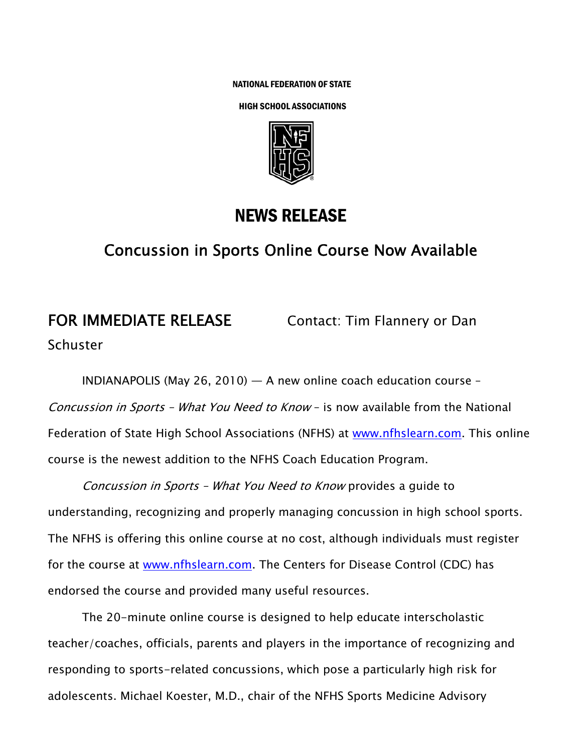NATIONAL FEDERATION OF STATE

HIGH SCHOOL ASSOCIATIONS



## NEWS RELEASE

## Concussion in Sports Online Course Now Available

# FOR IMMEDIATE RELEASE *Contact: Tim Flannery or Dan* **Schuster**

INDIANAPOLIS (May 26, 2010) — A new online coach education course – Concussion in Sports – What You Need to Know – is now available from the National Federation of State High School Associations (NFHS) at www.nfhslearn.com. This online course is the newest addition to the NFHS Coach Education Program.

Concussion in Sports – What You Need to Know provides a guide to understanding, recognizing and properly managing concussion in high school sports. The NFHS is offering this online course at no cost, although individuals must register for the course at www.nfhslearn.com. The Centers for Disease Control (CDC) has endorsed the course and provided many useful resources.

The 20-minute online course is designed to help educate interscholastic teacher/coaches, officials, parents and players in the importance of recognizing and responding to sports-related concussions, which pose a particularly high risk for adolescents. Michael Koester, M.D., chair of the NFHS Sports Medicine Advisory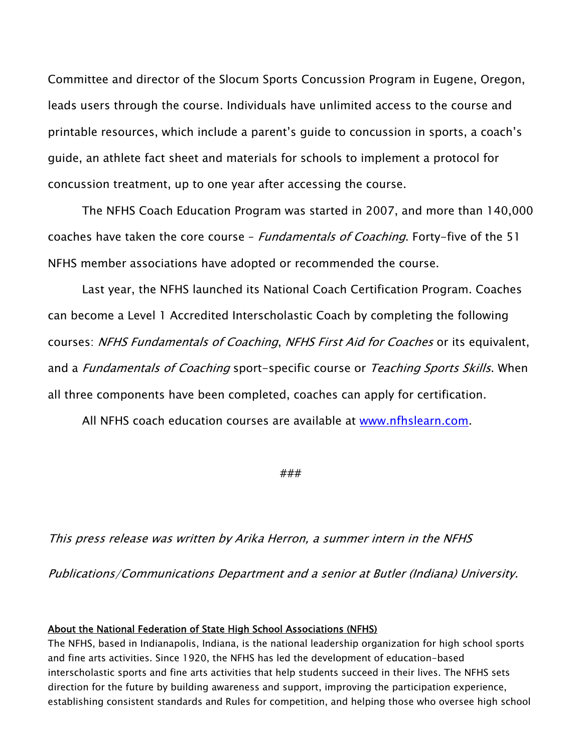Committee and director of the Slocum Sports Concussion Program in Eugene, Oregon, leads users through the course. Individuals have unlimited access to the course and printable resources, which include a parent's guide to concussion in sports, a coach's guide, an athlete fact sheet and materials for schools to implement a protocol for concussion treatment, up to one year after accessing the course.

The NFHS Coach Education Program was started in 2007, and more than 140,000 coaches have taken the core course - Fundamentals of Coaching. Forty-five of the 51 NFHS member associations have adopted or recommended the course.

Last year, the NFHS launched its National Coach Certification Program. Coaches can become a Level 1 Accredited Interscholastic Coach by completing the following courses: NFHS Fundamentals of Coaching, NFHS First Aid for Coaches or its equivalent, and a *Fundamentals of Coaching* sport-specific course or Teaching Sports Skills. When all three components have been completed, coaches can apply for certification.

All NFHS coach education courses are available at www.nfhslearn.com.

###

This press release was written by Arika Herron, a summer intern in the NFHS

Publications/Communications Department and a senior at Butler (Indiana) University.

#### About the National Federation of State High School Associations (NFHS)

The NFHS, based in Indianapolis, Indiana, is the national leadership organization for high school sports and fine arts activities. Since 1920, the NFHS has led the development of education-based interscholastic sports and fine arts activities that help students succeed in their lives. The NFHS sets direction for the future by building awareness and support, improving the participation experience, establishing consistent standards and Rules for competition, and helping those who oversee high school